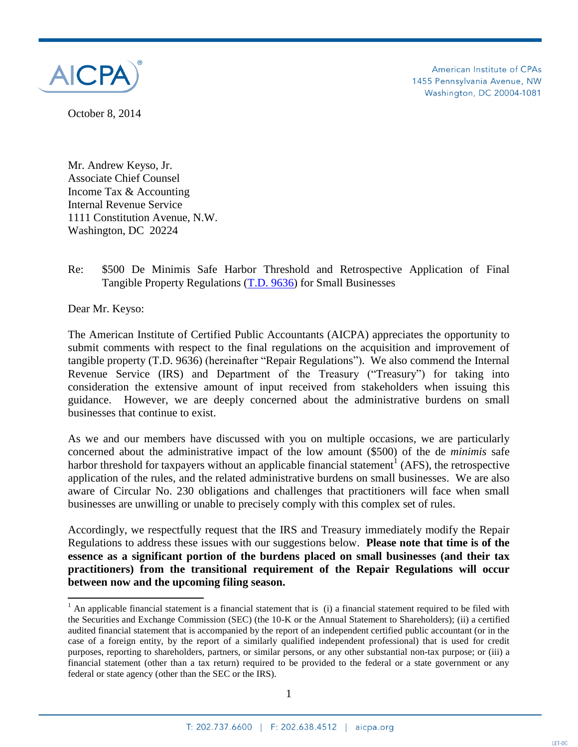

American Institute of CPAs 1455 Pennsylvania Avenue, NW Washington, DC 20004-1081

October 8, 2014

Mr. Andrew Keyso, Jr. Associate Chief Counsel Income Tax & Accounting Internal Revenue Service 1111 Constitution Avenue, N.W. Washington, DC 20224

Re: \$500 De Minimis Safe Harbor Threshold and Retrospective Application of Final Tangible Property Regulations [\(T.D. 9636\)](https://s3.amazonaws.com/public-inspection.federalregister.gov/2013-21756.pdf) for Small Businesses

Dear Mr. Keyso:

 $\overline{\phantom{a}}$ 

The American Institute of Certified Public Accountants (AICPA) appreciates the opportunity to submit comments with respect to the final regulations on the acquisition and improvement of tangible property (T.D. 9636) (hereinafter "Repair Regulations"). We also commend the Internal Revenue Service (IRS) and Department of the Treasury ("Treasury") for taking into consideration the extensive amount of input received from stakeholders when issuing this guidance. However, we are deeply concerned about the administrative burdens on small businesses that continue to exist.

As we and our members have discussed with you on multiple occasions, we are particularly concerned about the administrative impact of the low amount (\$500) of the de *minimis* safe harbor threshold for taxpayers without an applicable financial statement<sup>1</sup> (AFS), the retrospective application of the rules, and the related administrative burdens on small businesses. We are also aware of Circular No. 230 obligations and challenges that practitioners will face when small businesses are unwilling or unable to precisely comply with this complex set of rules.

Accordingly, we respectfully request that the IRS and Treasury immediately modify the Repair Regulations to address these issues with our suggestions below. **Please note that time is of the essence as a significant portion of the burdens placed on small businesses (and their tax practitioners) from the transitional requirement of the Repair Regulations will occur between now and the upcoming filing season.**

<sup>&</sup>lt;sup>1</sup> An applicable financial statement is a financial statement that is (i) a financial statement required to be filed with the Securities and Exchange Commission (SEC) (the 10-K or the Annual Statement to Shareholders); (ii) a certified audited financial statement that is accompanied by the report of an independent certified public accountant (or in the case of a foreign entity, by the report of a similarly qualified independent professional) that is used for credit purposes, reporting to shareholders, partners, or similar persons, or any other substantial non-tax purpose; or (iii) a financial statement (other than a tax return) required to be provided to the federal or a state government or any federal or state agency (other than the SEC or the IRS).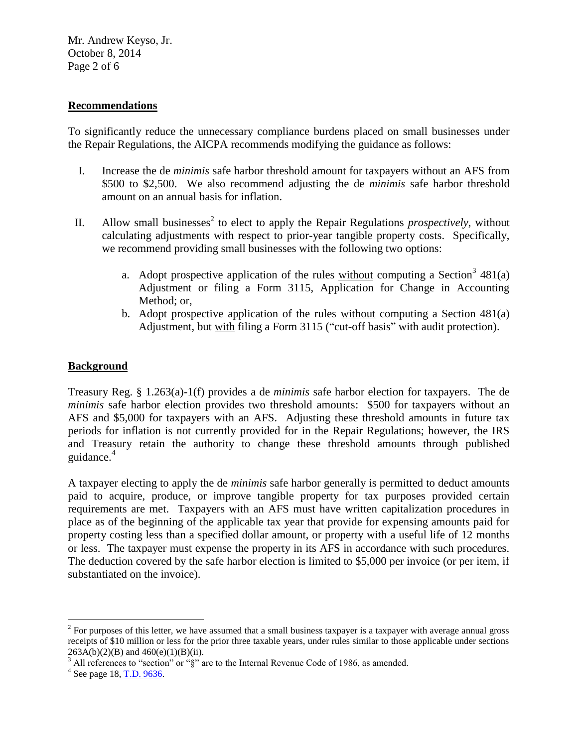Mr. Andrew Keyso, Jr. October 8, 2014 Page 2 of 6

### **Recommendations**

To significantly reduce the unnecessary compliance burdens placed on small businesses under the Repair Regulations, the AICPA recommends modifying the guidance as follows:

- I. Increase the de *minimis* safe harbor threshold amount for taxpayers without an AFS from \$500 to \$2,500. We also recommend adjusting the de *minimis* safe harbor threshold amount on an annual basis for inflation.
- II. Allow small businesses<sup>2</sup> to elect to apply the Repair Regulations *prospectively*, without calculating adjustments with respect to prior-year tangible property costs. Specifically, we recommend providing small businesses with the following two options:
	- a. Adopt prospective application of the rules  $without$  computing a Section<sup>3</sup> 481(a)</u> Adjustment or filing a Form 3115, Application for Change in Accounting Method; or,
	- b. Adopt prospective application of the rules without computing a Section 481(a) Adjustment, but with filing a Form 3115 ("cut-off basis" with audit protection).

### **Background**

Treasury Reg. § 1.263(a)-1(f) provides a de *minimis* safe harbor election for taxpayers. The de *minimis* safe harbor election provides two threshold amounts: \$500 for taxpayers without an AFS and \$5,000 for taxpayers with an AFS. Adjusting these threshold amounts in future tax periods for inflation is not currently provided for in the Repair Regulations; however, the IRS and Treasury retain the authority to change these threshold amounts through published guidance. 4

A taxpayer electing to apply the de *minimis* safe harbor generally is permitted to deduct amounts paid to acquire, produce, or improve tangible property for tax purposes provided certain requirements are met. Taxpayers with an AFS must have written capitalization procedures in place as of the beginning of the applicable tax year that provide for expensing amounts paid for property costing less than a specified dollar amount, or property with a useful life of 12 months or less. The taxpayer must expense the property in its AFS in accordance with such procedures. The deduction covered by the safe harbor election is limited to \$5,000 per invoice (or per item, if substantiated on the invoice).

<sup>&</sup>lt;sup>2</sup> For purposes of this letter, we have assumed that a small business taxpayer is a taxpayer with average annual gross receipts of \$10 million or less for the prior three taxable years, under rules similar to those applicable under sections  $263A(b)(2)(B)$  and  $460(e)(1)(B)(ii)$ .

 $3$  All references to "section" or " $\S$ " are to the Internal Revenue Code of 1986, as amended.

 $4^4$  See page 18, [T.D. 9636.](https://s3.amazonaws.com/public-inspection.federalregister.gov/2013-21756.pdf)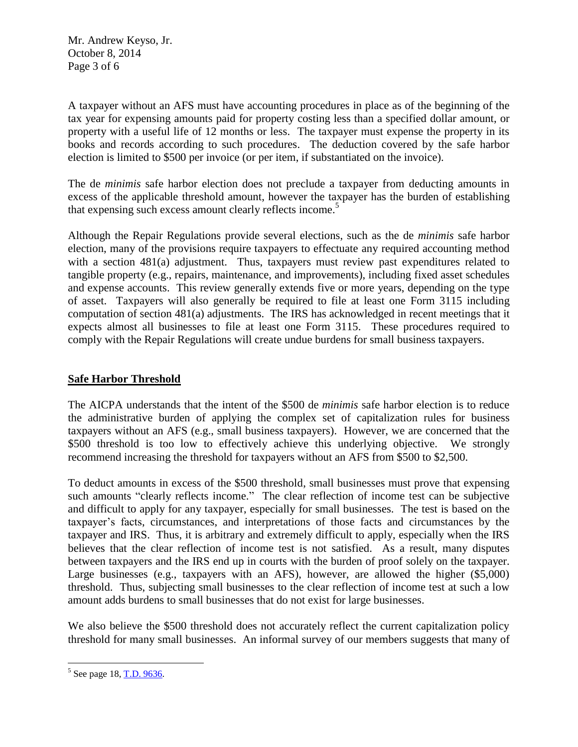Mr. Andrew Keyso, Jr. October 8, 2014 Page 3 of 6

A taxpayer without an AFS must have accounting procedures in place as of the beginning of the tax year for expensing amounts paid for property costing less than a specified dollar amount, or property with a useful life of 12 months or less. The taxpayer must expense the property in its books and records according to such procedures. The deduction covered by the safe harbor election is limited to \$500 per invoice (or per item, if substantiated on the invoice).

The de *minimis* safe harbor election does not preclude a taxpayer from deducting amounts in excess of the applicable threshold amount, however the taxpayer has the burden of establishing that expensing such excess amount clearly reflects income. 5

Although the Repair Regulations provide several elections, such as the de *minimis* safe harbor election, many of the provisions require taxpayers to effectuate any required accounting method with a section 481(a) adjustment. Thus, taxpayers must review past expenditures related to tangible property (e.g., repairs, maintenance, and improvements), including fixed asset schedules and expense accounts. This review generally extends five or more years, depending on the type of asset. Taxpayers will also generally be required to file at least one Form 3115 including computation of section 481(a) adjustments. The IRS has acknowledged in recent meetings that it expects almost all businesses to file at least one Form 3115. These procedures required to comply with the Repair Regulations will create undue burdens for small business taxpayers.

# **Safe Harbor Threshold**

The AICPA understands that the intent of the \$500 de *minimis* safe harbor election is to reduce the administrative burden of applying the complex set of capitalization rules for business taxpayers without an AFS (e.g., small business taxpayers). However, we are concerned that the \$500 threshold is too low to effectively achieve this underlying objective. We strongly recommend increasing the threshold for taxpayers without an AFS from \$500 to \$2,500.

To deduct amounts in excess of the \$500 threshold, small businesses must prove that expensing such amounts "clearly reflects income." The clear reflection of income test can be subjective and difficult to apply for any taxpayer, especially for small businesses. The test is based on the taxpayer's facts, circumstances, and interpretations of those facts and circumstances by the taxpayer and IRS. Thus, it is arbitrary and extremely difficult to apply, especially when the IRS believes that the clear reflection of income test is not satisfied. As a result, many disputes between taxpayers and the IRS end up in courts with the burden of proof solely on the taxpayer. Large businesses (e.g., taxpayers with an AFS), however, are allowed the higher (\$5,000) threshold. Thus, subjecting small businesses to the clear reflection of income test at such a low amount adds burdens to small businesses that do not exist for large businesses.

We also believe the \$500 threshold does not accurately reflect the current capitalization policy threshold for many small businesses. An informal survey of our members suggests that many of

 $^5$  See page 18, [T.D. 9636.](https://s3.amazonaws.com/public-inspection.federalregister.gov/2013-21756.pdf)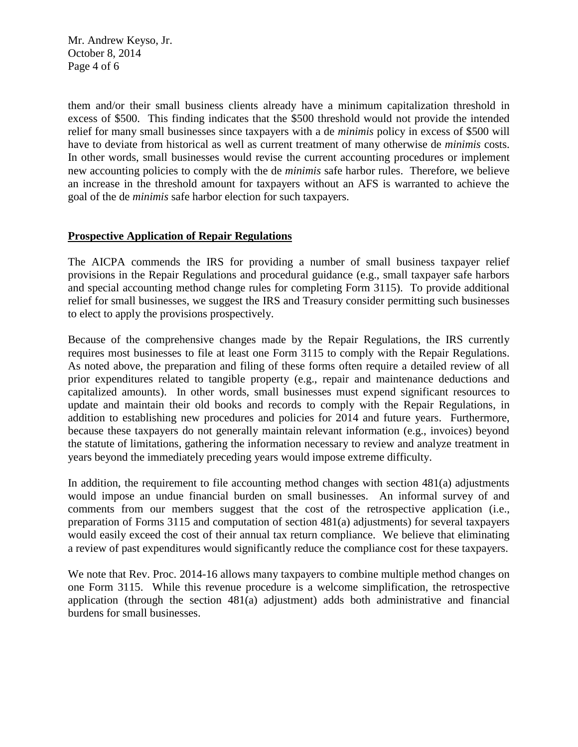Mr. Andrew Keyso, Jr. October 8, 2014 Page 4 of 6

them and/or their small business clients already have a minimum capitalization threshold in excess of \$500. This finding indicates that the \$500 threshold would not provide the intended relief for many small businesses since taxpayers with a de *minimis* policy in excess of \$500 will have to deviate from historical as well as current treatment of many otherwise de *minimis* costs. In other words, small businesses would revise the current accounting procedures or implement new accounting policies to comply with the de *minimis* safe harbor rules. Therefore, we believe an increase in the threshold amount for taxpayers without an AFS is warranted to achieve the goal of the de *minimis* safe harbor election for such taxpayers.

# **Prospective Application of Repair Regulations**

The AICPA commends the IRS for providing a number of small business taxpayer relief provisions in the Repair Regulations and procedural guidance (e.g., small taxpayer safe harbors and special accounting method change rules for completing Form 3115). To provide additional relief for small businesses, we suggest the IRS and Treasury consider permitting such businesses to elect to apply the provisions prospectively.

Because of the comprehensive changes made by the Repair Regulations, the IRS currently requires most businesses to file at least one Form 3115 to comply with the Repair Regulations. As noted above, the preparation and filing of these forms often require a detailed review of all prior expenditures related to tangible property (e.g., repair and maintenance deductions and capitalized amounts). In other words, small businesses must expend significant resources to update and maintain their old books and records to comply with the Repair Regulations, in addition to establishing new procedures and policies for 2014 and future years. Furthermore, because these taxpayers do not generally maintain relevant information (e.g., invoices) beyond the statute of limitations, gathering the information necessary to review and analyze treatment in years beyond the immediately preceding years would impose extreme difficulty.

In addition, the requirement to file accounting method changes with section  $481(a)$  adjustments would impose an undue financial burden on small businesses. An informal survey of and comments from our members suggest that the cost of the retrospective application (i.e., preparation of Forms 3115 and computation of section 481(a) adjustments) for several taxpayers would easily exceed the cost of their annual tax return compliance. We believe that eliminating a review of past expenditures would significantly reduce the compliance cost for these taxpayers.

We note that Rev. Proc. 2014-16 allows many taxpayers to combine multiple method changes on one Form 3115. While this revenue procedure is a welcome simplification, the retrospective application (through the section 481(a) adjustment) adds both administrative and financial burdens for small businesses.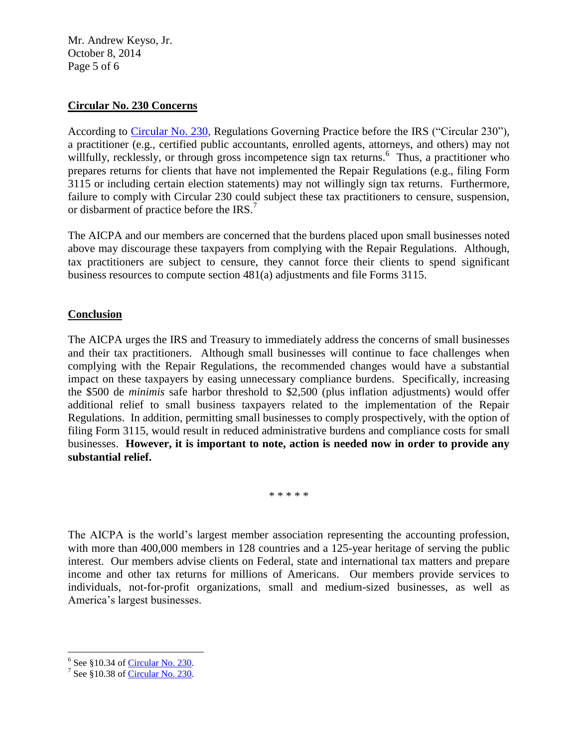Mr. Andrew Keyso, Jr. October 8, 2014 Page 5 of 6

# **Circular No. 230 Concerns**

According to [Circular No. 230,](http://www.irs.gov/pub/irs-pdf/pcir230.pdf) Regulations Governing Practice before the IRS ("Circular 230"), a practitioner (e.g., certified public accountants, enrolled agents, attorneys, and others) may not willfully, recklessly, or through gross incompetence sign tax returns.<sup>6</sup> Thus, a practitioner who prepares returns for clients that have not implemented the Repair Regulations (e.g., filing Form 3115 or including certain election statements) may not willingly sign tax returns. Furthermore, failure to comply with Circular 230 could subject these tax practitioners to censure, suspension, or disbarment of practice before the IRS.<sup>7</sup>

The AICPA and our members are concerned that the burdens placed upon small businesses noted above may discourage these taxpayers from complying with the Repair Regulations. Although, tax practitioners are subject to censure, they cannot force their clients to spend significant business resources to compute section 481(a) adjustments and file Forms 3115.

# **Conclusion**

The AICPA urges the IRS and Treasury to immediately address the concerns of small businesses and their tax practitioners. Although small businesses will continue to face challenges when complying with the Repair Regulations, the recommended changes would have a substantial impact on these taxpayers by easing unnecessary compliance burdens. Specifically, increasing the \$500 de *minimis* safe harbor threshold to \$2,500 (plus inflation adjustments) would offer additional relief to small business taxpayers related to the implementation of the Repair Regulations. In addition, permitting small businesses to comply prospectively, with the option of filing Form 3115, would result in reduced administrative burdens and compliance costs for small businesses. **However, it is important to note, action is needed now in order to provide any substantial relief.**

\* \* \* \* \*

The AICPA is the world's largest member association representing the accounting profession, with more than 400,000 members in 128 countries and a 125-year heritage of serving the public interest. Our members advise clients on Federal, state and international tax matters and prepare income and other tax returns for millions of Americans. Our members provide services to individuals, not-for-profit organizations, small and medium-sized businesses, as well as America's largest businesses.

<sup>&</sup>lt;sup>6</sup> See §10.34 of <u>Circular No. 230</u>.

<sup>&</sup>lt;sup>7</sup> See §10.38 o[f Circular](http://www.irs.gov/pub/irs-pdf/pcir230.pdf) No. 230.